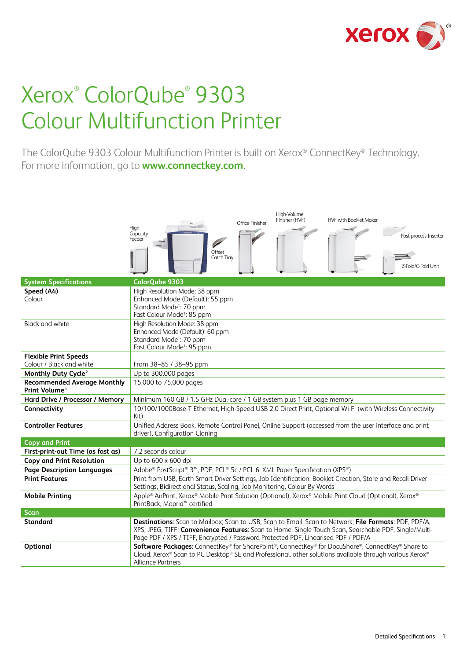

# Xerox® ColorQube® 9303 Colour Multifunction Printer

The ColorQube 9303 Colour Multifunction Printer is built on Xerox® ConnectKey® Technology. For more information, go to **www.connectkey.com**.

|                                                                 | High-Volume<br>Finisher (HVF)<br><b>HVF with Booklet Maker</b><br>Office Finisher<br>High<br>Capacity<br>Post-process Inserter<br>Feeder<br>Offset<br>Catch Tray<br>Z-Fold/C-Fold Unit                                                                                                              |  |  |
|-----------------------------------------------------------------|-----------------------------------------------------------------------------------------------------------------------------------------------------------------------------------------------------------------------------------------------------------------------------------------------------|--|--|
| <b>System Specifications</b>                                    | ColorOube 9303                                                                                                                                                                                                                                                                                      |  |  |
| Speed (A4)<br>Colour                                            | High Resolution Mode: 38 ppm<br>Enhanced Mode (Default): 55 ppm<br>Standard Mode <sup>1</sup> : 70 ppm<br>Fast Colour Mode <sup>1</sup> : 85 ppm                                                                                                                                                    |  |  |
| <b>Black and white</b>                                          | High Resolution Mode: 38 ppm<br>Enhanced Mode (Default): 60 ppm<br>Standard Mode <sup>1</sup> : 70 ppm<br>Fast Colour Mode <sup>1</sup> : 95 ppm                                                                                                                                                    |  |  |
| <b>Flexible Print Speeds</b>                                    |                                                                                                                                                                                                                                                                                                     |  |  |
| Colour / Black and white                                        | From 38-85 / 38-95 ppm                                                                                                                                                                                                                                                                              |  |  |
| Monthly Duty Cycle <sup>2</sup>                                 | Up to 300,000 pages                                                                                                                                                                                                                                                                                 |  |  |
| <b>Recommended Average Monthly</b><br>Print Volume <sup>3</sup> | 15,000 to 75,000 pages                                                                                                                                                                                                                                                                              |  |  |
| Hard Drive / Processor / Memory                                 | Minimum 160 GB / 1.5 GHz Dual-core / 1 GB system plus 1 GB page memory                                                                                                                                                                                                                              |  |  |
| Connectivity                                                    | 10/100/1000Base-T Ethernet, High-Speed USB 2.0 Direct Print, Optional Wi-Fi (with Wireless Connectivity<br>Kit)                                                                                                                                                                                     |  |  |
| <b>Controller Features</b>                                      | Unified Address Book, Remote Control Panel, Online Support (accessed from the user interface and print<br>driver), Configuration Cloning                                                                                                                                                            |  |  |
| <b>Copy and Print</b>                                           |                                                                                                                                                                                                                                                                                                     |  |  |
| First-print-out Time (as fast as)                               | 7.2 seconds colour                                                                                                                                                                                                                                                                                  |  |  |
| <b>Copy and Print Resolution</b>                                | Up to $600 \times 600$ dpi                                                                                                                                                                                                                                                                          |  |  |
| <b>Page Description Languages</b>                               | Adobe® PostScript® 3™, PDF, PCL® 5c / PCL 6, XML Paper Specification (XPS®)                                                                                                                                                                                                                         |  |  |
| <b>Print Features</b>                                           | Print from USB, Earth Smart Driver Settings, Job Identification, Booklet Creation, Store and Recall Driver<br>Settings, Bidirectional Status, Scaling, Job Monitoring, Colour By Words                                                                                                              |  |  |
| <b>Mobile Printing</b>                                          | Apple® AirPrint, Xerox® Mobile Print Solution (Optional), Xerox® Mobile Print Cloud (Optional), Xerox®<br>PrintBack, Mopria <sup>™</sup> certified                                                                                                                                                  |  |  |
| <b>Scan</b>                                                     |                                                                                                                                                                                                                                                                                                     |  |  |
| <b>Standard</b>                                                 | Destinations: Scan to Mailbox; Scan to USB, Scan to Email, Scan to Network; File Formats: PDF, PDF/A,<br>XPS, JPEG, TIFF; Convenience Features: Scan to Home, Single Touch Scan, Searchable PDF, Single/Multi-<br>Page PDF / XPS / TIFF, Encrypted / Password Protected PDF, Linearised PDF / PDF/A |  |  |
| <b>Optional</b>                                                 | Software Packages: ConnectKey® for SharePoint®, ConnectKey® for DocuShare®, ConnectKey® Share to<br>Cloud, Xerox® Scan to PC Desktop® SE and Professional, other solutions available through various Xerox®<br><b>Alliance Partners</b>                                                             |  |  |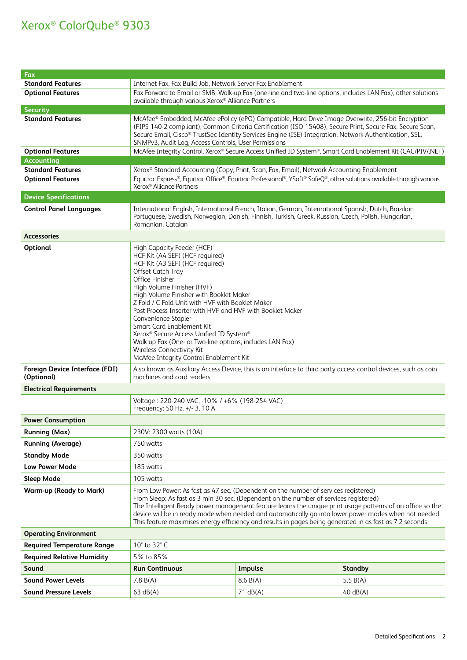| Fax                                                 |                                                                                                                                                                                                                                                                                                                                                                                                                                                                                                                                                                       |                                                                                                                       |                                                                                                             |
|-----------------------------------------------------|-----------------------------------------------------------------------------------------------------------------------------------------------------------------------------------------------------------------------------------------------------------------------------------------------------------------------------------------------------------------------------------------------------------------------------------------------------------------------------------------------------------------------------------------------------------------------|-----------------------------------------------------------------------------------------------------------------------|-------------------------------------------------------------------------------------------------------------|
| <b>Standard Features</b>                            | Internet Fax, Fax Build Job, Network Server Fax Enablement                                                                                                                                                                                                                                                                                                                                                                                                                                                                                                            |                                                                                                                       |                                                                                                             |
| <b>Optional Features</b>                            | Fax Forward to Email or SMB, Walk-up Fax (one-line and two-line options, includes LAN Fax), other solutions<br>available through various Xerox® Alliance Partners                                                                                                                                                                                                                                                                                                                                                                                                     |                                                                                                                       |                                                                                                             |
| <b>Security</b>                                     |                                                                                                                                                                                                                                                                                                                                                                                                                                                                                                                                                                       |                                                                                                                       |                                                                                                             |
| <b>Standard Features</b>                            | McAfee® Embedded, McAfee ePolicy (ePO) Compatible, Hard Drive Image Overwrite, 256-bit Encryption<br>(FIPS 140-2 compliant), Common Criteria Certification (ISO 15408), Secure Print, Secure Fax, Secure Scan,<br>Secure Email, Cisco® TrustSec Identity Services Engine (ISE) Integration, Network Authentication, SSL,<br>SNMPv3, Audit Log, Access Controls, User Permissions                                                                                                                                                                                      |                                                                                                                       |                                                                                                             |
| <b>Optional Features</b>                            |                                                                                                                                                                                                                                                                                                                                                                                                                                                                                                                                                                       |                                                                                                                       | McAfee Integrity Control, Xerox® Secure Access Unified ID System®, Smart Card Enablement Kit (CAC/PIV/.NET) |
| <b>Accounting</b>                                   |                                                                                                                                                                                                                                                                                                                                                                                                                                                                                                                                                                       |                                                                                                                       |                                                                                                             |
| <b>Standard Features</b>                            |                                                                                                                                                                                                                                                                                                                                                                                                                                                                                                                                                                       | Xerox® Standard Accounting (Copy, Print, Scan, Fax, Email), Network Accounting Enablement                             |                                                                                                             |
| <b>Optional Features</b>                            | Xerox <sup>®</sup> Alliance Partners                                                                                                                                                                                                                                                                                                                                                                                                                                                                                                                                  | Equitrac Express®, Equitrac Office®, Equitrac Professional®, YSoft® SafeQ®, other solutions available through various |                                                                                                             |
| <b>Device Specifications</b>                        |                                                                                                                                                                                                                                                                                                                                                                                                                                                                                                                                                                       |                                                                                                                       |                                                                                                             |
| <b>Control Panel Languages</b>                      | International English, International French, Italian, German, International Spanish, Dutch, Brazilian<br>Portuguese, Swedish, Norwegian, Danish, Finnish, Turkish, Greek, Russian, Czech, Polish, Hungarian,<br>Romanian, Catalan                                                                                                                                                                                                                                                                                                                                     |                                                                                                                       |                                                                                                             |
| <b>Accessories</b>                                  |                                                                                                                                                                                                                                                                                                                                                                                                                                                                                                                                                                       |                                                                                                                       |                                                                                                             |
| Optional                                            | High Capacity Feeder (HCF)<br>HCF Kit (A4 SEF) (HCF required)<br>HCF Kit (A3 SEF) (HCF required)<br>Offset Catch Tray<br>Office Finisher<br>High Volume Finisher (HVF)<br>High Volume Finisher with Booklet Maker<br>Z Fold / C Fold Unit with HVF with Booklet Maker<br>Post Process Inserter with HVF and HVF with Booklet Maker<br>Convenience Stapler<br>Smart Card Enablement Kit<br>Xerox® Secure Access Unified ID System®<br>Walk up Fax (One- or Two-line options, includes LAN Fax)<br>Wireless Connectivity Kit<br>McAfee Integrity Control Enablement Kit |                                                                                                                       |                                                                                                             |
| <b>Foreign Device Interface (FDI)</b><br>(Optional) | Also known as Auxiliary Access Device, this is an interface to third party access control devices, such as coin<br>machines and card readers.                                                                                                                                                                                                                                                                                                                                                                                                                         |                                                                                                                       |                                                                                                             |
| <b>Electrical Requirements</b>                      |                                                                                                                                                                                                                                                                                                                                                                                                                                                                                                                                                                       |                                                                                                                       |                                                                                                             |
|                                                     | Voltage: 220-240 VAC, -10% / +6% (198-254 VAC)<br>Frequency: 50 Hz, +/- 3, 10 A                                                                                                                                                                                                                                                                                                                                                                                                                                                                                       |                                                                                                                       |                                                                                                             |
| <b>Power Consumption</b>                            |                                                                                                                                                                                                                                                                                                                                                                                                                                                                                                                                                                       |                                                                                                                       |                                                                                                             |
| <b>Running (Max)</b>                                | 230V: 2300 watts (10A)                                                                                                                                                                                                                                                                                                                                                                                                                                                                                                                                                |                                                                                                                       |                                                                                                             |
| <b>Running (Average)</b>                            | 750 watts                                                                                                                                                                                                                                                                                                                                                                                                                                                                                                                                                             |                                                                                                                       |                                                                                                             |
| <b>Standby Mode</b>                                 | 350 watts                                                                                                                                                                                                                                                                                                                                                                                                                                                                                                                                                             |                                                                                                                       |                                                                                                             |
| <b>Low Power Mode</b>                               | 185 watts                                                                                                                                                                                                                                                                                                                                                                                                                                                                                                                                                             |                                                                                                                       |                                                                                                             |
| Sleep Mode                                          | 105 watts                                                                                                                                                                                                                                                                                                                                                                                                                                                                                                                                                             |                                                                                                                       |                                                                                                             |
| <b>Warm-up (Ready to Mark)</b>                      | From Low Power: As fast as 47 sec. (Dependent on the number of services registered)<br>From Sleep: As fast as 3 min 30 sec. (Dependent on the number of services registered)<br>The Intelligent Ready power management feature learns the unique print usage patterns of an office so the<br>device will be in ready mode when needed and automatically go into lower power modes when not needed.<br>This feature maximises energy efficiency and results in pages being generated in as fast as 7.2 seconds                                                         |                                                                                                                       |                                                                                                             |
| <b>Operating Environment</b>                        |                                                                                                                                                                                                                                                                                                                                                                                                                                                                                                                                                                       |                                                                                                                       |                                                                                                             |
| <b>Required Temperature Range</b>                   | 10° to 32° C                                                                                                                                                                                                                                                                                                                                                                                                                                                                                                                                                          |                                                                                                                       |                                                                                                             |
| <b>Required Relative Humidity</b>                   | 5% to 85%                                                                                                                                                                                                                                                                                                                                                                                                                                                                                                                                                             |                                                                                                                       |                                                                                                             |
| Sound                                               | <b>Run Continuous</b><br>Impulse<br><b>Standby</b>                                                                                                                                                                                                                                                                                                                                                                                                                                                                                                                    |                                                                                                                       |                                                                                                             |
| <b>Sound Power Levels</b>                           | 7.8 B(A)                                                                                                                                                                                                                                                                                                                                                                                                                                                                                                                                                              | 8.6 B(A)                                                                                                              | 5.5 $B(A)$                                                                                                  |
| <b>Sound Pressure Levels</b>                        | 63 dB(A)                                                                                                                                                                                                                                                                                                                                                                                                                                                                                                                                                              | 71 dB(A)                                                                                                              | 40 dB(A)                                                                                                    |
|                                                     |                                                                                                                                                                                                                                                                                                                                                                                                                                                                                                                                                                       |                                                                                                                       |                                                                                                             |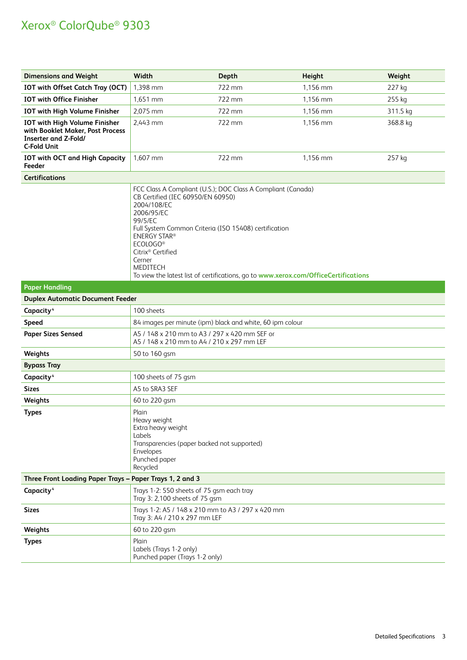| <b>Dimensions and Weight</b>                                                                                           | Width                                                                                                                                                                                                                                                                                                                                                                                                  | Depth  | Height   | Weight   |
|------------------------------------------------------------------------------------------------------------------------|--------------------------------------------------------------------------------------------------------------------------------------------------------------------------------------------------------------------------------------------------------------------------------------------------------------------------------------------------------------------------------------------------------|--------|----------|----------|
| IOT with Offset Catch Tray (OCT)                                                                                       | 1,398 mm                                                                                                                                                                                                                                                                                                                                                                                               | 722 mm | 1,156 mm | 227 kg   |
| <b>IOT with Office Finisher</b>                                                                                        | 1,651 mm                                                                                                                                                                                                                                                                                                                                                                                               | 722 mm | 1,156 mm | 255 kg   |
| <b>IOT with High Volume Finisher</b>                                                                                   | 2,075 mm                                                                                                                                                                                                                                                                                                                                                                                               | 722 mm | 1,156 mm | 311.5 kg |
| IOT with High Volume Finisher<br>with Booklet Maker, Post Process<br><b>Inserter and Z-Fold/</b><br><b>C-Fold Unit</b> | 2,443 mm                                                                                                                                                                                                                                                                                                                                                                                               | 722 mm | 1,156 mm | 368.8 kg |
| <b>IOT with OCT and High Capacity</b><br>Feeder                                                                        | 1,607 mm                                                                                                                                                                                                                                                                                                                                                                                               | 722 mm | 1,156 mm | 257 kg   |
| <b>Certifications</b>                                                                                                  |                                                                                                                                                                                                                                                                                                                                                                                                        |        |          |          |
|                                                                                                                        | FCC Class A Compliant (U.S.); DOC Class A Compliant (Canada)<br>CB Certified (IEC 60950/EN 60950)<br>2004/108/EC<br>2006/95/EC<br>99/5/EC<br>Full System Common Criteria (ISO 15408) certification<br><b>ENERGY STAR®</b><br>ECOLOGO <sup>®</sup><br>Citrix <sup>®</sup> Certified<br>Cerner<br><b>MEDITECH</b><br>To view the latest list of certifications, go to www.xerox.com/OfficeCertifications |        |          |          |
| <b>Paper Handling</b>                                                                                                  |                                                                                                                                                                                                                                                                                                                                                                                                        |        |          |          |
| <b>Duplex Automatic Document Feeder</b>                                                                                |                                                                                                                                                                                                                                                                                                                                                                                                        |        |          |          |
| Capacity <sup>4</sup>                                                                                                  | 100 sheets                                                                                                                                                                                                                                                                                                                                                                                             |        |          |          |
| <b>Speed</b>                                                                                                           | 84 images per minute (ipm) black and white, 60 ipm colour                                                                                                                                                                                                                                                                                                                                              |        |          |          |
| <b>Paper Sizes Sensed</b>                                                                                              | A5 / 148 x 210 mm to A3 / 297 x 420 mm SEF or<br>A5 / 148 x 210 mm to A4 / 210 x 297 mm LEF                                                                                                                                                                                                                                                                                                            |        |          |          |
| Weights                                                                                                                | 50 to 160 gsm                                                                                                                                                                                                                                                                                                                                                                                          |        |          |          |
| <b>Bypass Tray</b>                                                                                                     |                                                                                                                                                                                                                                                                                                                                                                                                        |        |          |          |
| Capacity <sup>4</sup>                                                                                                  | 100 sheets of 75 gsm                                                                                                                                                                                                                                                                                                                                                                                   |        |          |          |
| <b>Sizes</b>                                                                                                           | A5 to SRA3 SEF                                                                                                                                                                                                                                                                                                                                                                                         |        |          |          |
| Weights                                                                                                                | 60 to 220 gsm                                                                                                                                                                                                                                                                                                                                                                                          |        |          |          |
| <b>Types</b>                                                                                                           | Plain<br>Heavy weight<br>Extra heavy weight<br>Labels<br>Transparencies (paper backed not supported)<br>Envelopes<br>Punched paper<br>Recycled                                                                                                                                                                                                                                                         |        |          |          |
| Three Front Loading Paper Trays - Paper Trays 1, 2 and 3                                                               |                                                                                                                                                                                                                                                                                                                                                                                                        |        |          |          |
| Capacity <sup>4</sup>                                                                                                  | Trays 1-2: 550 sheets of 75 gsm each tray<br>Tray 3: 2,100 sheets of 75 gsm                                                                                                                                                                                                                                                                                                                            |        |          |          |
| <b>Sizes</b>                                                                                                           | Trays 1-2: A5 / 148 x 210 mm to A3 / 297 x 420 mm<br>Tray 3: A4 / 210 x 297 mm LEF                                                                                                                                                                                                                                                                                                                     |        |          |          |
| Weights                                                                                                                | 60 to 220 gsm                                                                                                                                                                                                                                                                                                                                                                                          |        |          |          |
| <b>Types</b>                                                                                                           | Plain<br>Labels (Trays 1-2 only)<br>Punched paper (Trays 1-2 only)                                                                                                                                                                                                                                                                                                                                     |        |          |          |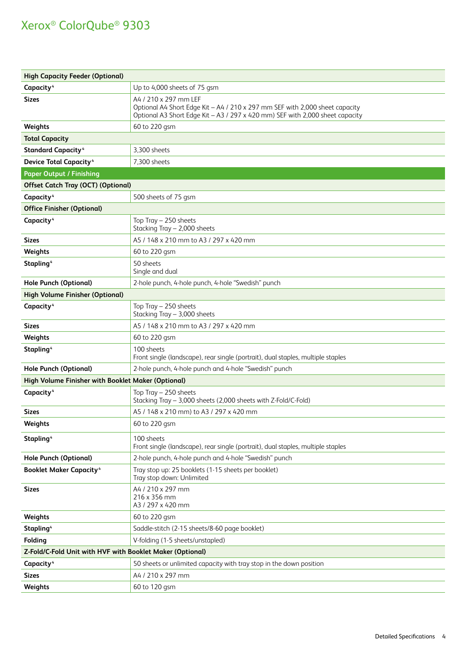| <b>High Capacity Feeder (Optional)</b>                    |                                                                                                                                                                                        |  |  |
|-----------------------------------------------------------|----------------------------------------------------------------------------------------------------------------------------------------------------------------------------------------|--|--|
| Capacity <sup>4</sup>                                     | Up to 4,000 sheets of 75 gsm                                                                                                                                                           |  |  |
| <b>Sizes</b>                                              | A4 / 210 x 297 mm LEF<br>Optional A4 Short Edge Kit - A4 / 210 x 297 mm SEF with 2,000 sheet capacity<br>Optional A3 Short Edge Kit - A3 / 297 x 420 mm) SEF with 2,000 sheet capacity |  |  |
| Weights                                                   | 60 to 220 gsm                                                                                                                                                                          |  |  |
| <b>Total Capacity</b>                                     |                                                                                                                                                                                        |  |  |
| <b>Standard Capacity4</b>                                 | 3,300 sheets                                                                                                                                                                           |  |  |
| <b>Device Total Capacity<sup>4</sup></b>                  | 7,300 sheets                                                                                                                                                                           |  |  |
| <b>Paper Output / Finishing</b>                           |                                                                                                                                                                                        |  |  |
| <b>Offset Catch Tray (OCT) (Optional)</b>                 |                                                                                                                                                                                        |  |  |
| Capacity <sup>4</sup>                                     | 500 sheets of 75 gsm                                                                                                                                                                   |  |  |
| <b>Office Finisher (Optional)</b>                         |                                                                                                                                                                                        |  |  |
| Capacity <sup>4</sup>                                     | Top Tray $-250$ sheets<br>Stacking Tray - 2,000 sheets                                                                                                                                 |  |  |
| Sizes                                                     | A5 / 148 x 210 mm to A3 / 297 x 420 mm                                                                                                                                                 |  |  |
| Weights                                                   | 60 to 220 gsm                                                                                                                                                                          |  |  |
| Stapling <sup>4</sup>                                     | 50 sheets<br>Single and dual                                                                                                                                                           |  |  |
| <b>Hole Punch (Optional)</b>                              | 2-hole punch, 4-hole punch, 4-hole "Swedish" punch                                                                                                                                     |  |  |
| <b>High Volume Finisher (Optional)</b>                    |                                                                                                                                                                                        |  |  |
| Capacity <sup>4</sup>                                     | Top Tray - 250 sheets<br>Stacking Tray - 3,000 sheets                                                                                                                                  |  |  |
| Sizes                                                     | A5 / 148 x 210 mm to A3 / 297 x 420 mm                                                                                                                                                 |  |  |
| Weights                                                   | 60 to 220 gsm                                                                                                                                                                          |  |  |
| Stapling <sup>4</sup>                                     | 100 sheets<br>Front single (landscape), rear single (portrait), dual staples, multiple staples                                                                                         |  |  |
| <b>Hole Punch (Optional)</b>                              | 2-hole punch, 4-hole punch and 4-hole "Swedish" punch                                                                                                                                  |  |  |
| High Volume Finisher with Booklet Maker (Optional)        |                                                                                                                                                                                        |  |  |
| Capacity <sup>4</sup>                                     | Top Tray $-250$ sheets<br>Stacking Tray - 3,000 sheets (2,000 sheets with Z-Fold/C-Fold)                                                                                               |  |  |
| Sizes                                                     | A5 / 148 x 210 mm) to A3 / 297 x 420 mm                                                                                                                                                |  |  |
| Weights                                                   | 60 to 220 gsm                                                                                                                                                                          |  |  |
| Stapling <sup>4</sup>                                     | 100 sheets<br>Front single (landscape), rear single (portrait), dual staples, multiple staples                                                                                         |  |  |
| <b>Hole Punch (Optional)</b>                              | 2-hole punch, 4-hole punch and 4-hole "Swedish" punch                                                                                                                                  |  |  |
| <b>Booklet Maker Capacity4</b>                            | Tray stop up: 25 booklets (1-15 sheets per booklet)<br>Tray stop down: Unlimited                                                                                                       |  |  |
| Sizes                                                     | A4 / 210 x 297 mm<br>216 x 356 mm<br>A3 / 297 x 420 mm                                                                                                                                 |  |  |
| Weights                                                   | 60 to 220 gsm                                                                                                                                                                          |  |  |
| Stapling <sup>4</sup>                                     | Saddle-stitch (2-15 sheets/8-60 page booklet)                                                                                                                                          |  |  |
| Folding                                                   | V-folding (1-5 sheets/unstapled)                                                                                                                                                       |  |  |
| Z-Fold/C-Fold Unit with HVF with Booklet Maker (Optional) |                                                                                                                                                                                        |  |  |
| Capacity <sup>4</sup>                                     | 50 sheets or unlimited capacity with tray stop in the down position                                                                                                                    |  |  |
| <b>Sizes</b>                                              | A4 / 210 x 297 mm                                                                                                                                                                      |  |  |
| Weights                                                   | 60 to 120 gsm                                                                                                                                                                          |  |  |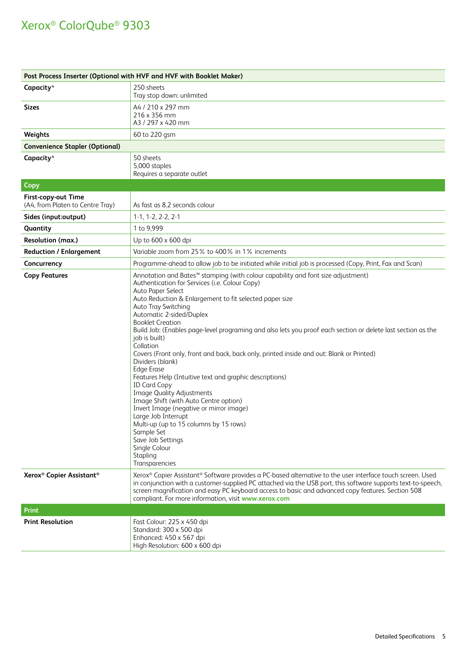| Post Process Inserter (Optional with HVF and HVF with Booklet Maker) |                                                                                                                                                                                                                                                                                                                                                                                                                                                                                                                                                                                                                                                                                                                                                                                                                                                                                                                                                              |  |  |
|----------------------------------------------------------------------|--------------------------------------------------------------------------------------------------------------------------------------------------------------------------------------------------------------------------------------------------------------------------------------------------------------------------------------------------------------------------------------------------------------------------------------------------------------------------------------------------------------------------------------------------------------------------------------------------------------------------------------------------------------------------------------------------------------------------------------------------------------------------------------------------------------------------------------------------------------------------------------------------------------------------------------------------------------|--|--|
| Capacity <sup>4</sup>                                                | 250 sheets<br>Tray stop down: unlimited                                                                                                                                                                                                                                                                                                                                                                                                                                                                                                                                                                                                                                                                                                                                                                                                                                                                                                                      |  |  |
| <b>Sizes</b>                                                         | A4 / 210 x 297 mm<br>216 x 356 mm<br>A3 / 297 x 420 mm                                                                                                                                                                                                                                                                                                                                                                                                                                                                                                                                                                                                                                                                                                                                                                                                                                                                                                       |  |  |
| Weights                                                              | 60 to 220 gsm                                                                                                                                                                                                                                                                                                                                                                                                                                                                                                                                                                                                                                                                                                                                                                                                                                                                                                                                                |  |  |
| <b>Convenience Stapler (Optional)</b>                                |                                                                                                                                                                                                                                                                                                                                                                                                                                                                                                                                                                                                                                                                                                                                                                                                                                                                                                                                                              |  |  |
| Capacity <sup>4</sup>                                                | 50 sheets<br>5,000 staples<br>Requires a separate outlet                                                                                                                                                                                                                                                                                                                                                                                                                                                                                                                                                                                                                                                                                                                                                                                                                                                                                                     |  |  |
| <b>Copy</b>                                                          |                                                                                                                                                                                                                                                                                                                                                                                                                                                                                                                                                                                                                                                                                                                                                                                                                                                                                                                                                              |  |  |
| First-copy-out Time<br>(A4, from Platen to Centre Tray)              | As fast as 8.2 seconds colour                                                                                                                                                                                                                                                                                                                                                                                                                                                                                                                                                                                                                                                                                                                                                                                                                                                                                                                                |  |  |
| Sides (input:output)                                                 | $1-1, 1-2, 2-2, 2-1$                                                                                                                                                                                                                                                                                                                                                                                                                                                                                                                                                                                                                                                                                                                                                                                                                                                                                                                                         |  |  |
| Quantity                                                             | 1 to 9,999                                                                                                                                                                                                                                                                                                                                                                                                                                                                                                                                                                                                                                                                                                                                                                                                                                                                                                                                                   |  |  |
| <b>Resolution (max.)</b>                                             | Up to 600 x 600 dpi                                                                                                                                                                                                                                                                                                                                                                                                                                                                                                                                                                                                                                                                                                                                                                                                                                                                                                                                          |  |  |
| <b>Reduction / Enlargement</b>                                       | Variable zoom from 25% to 400% in 1% increments                                                                                                                                                                                                                                                                                                                                                                                                                                                                                                                                                                                                                                                                                                                                                                                                                                                                                                              |  |  |
| Concurrency                                                          | Programme-ahead to allow job to be initiated while initial job is processed (Copy, Print, Fax and Scan)                                                                                                                                                                                                                                                                                                                                                                                                                                                                                                                                                                                                                                                                                                                                                                                                                                                      |  |  |
| <b>Copy Features</b>                                                 | Annotation and Bates <sup>™</sup> stamping (with colour capability and font size adjustment)<br>Authentication for Services (i.e. Colour Copy)<br>Auto Paper Select<br>Auto Reduction & Enlargement to fit selected paper size<br>Auto Tray Switching<br>Automatic 2-sided/Duplex<br><b>Booklet Creation</b><br>Build Job: (Enables page-level programing and also lets you proof each section or delete last section as the<br>job is built)<br>Collation<br>Covers (Front only, front and back, back only, printed inside and out: Blank or Printed)<br>Dividers (blank)<br><b>Edge Erase</b><br>Features Help (Intuitive text and graphic descriptions)<br><b>ID Card Copy</b><br><b>Image Quality Adjustments</b><br>Image Shift (with Auto Centre option)<br>Invert Image (negative or mirror image)<br>Large Job Interrupt<br>Multi-up (up to 15 columns by 15 rows)<br>Sample Set<br>Save Job Settings<br>Single Colour<br>Stapling<br>Transparencies |  |  |
| Xerox <sup>®</sup> Copier Assistant <sup>®</sup>                     | Xerox® Copier Assistant® Software provides a PC-based alternative to the user interface touch screen. Used<br>in conjunction with a customer-supplied PC attached via the USB port, this software supports text-to-speech,<br>screen magnification and easy PC keyboard access to basic and advanced copy features. Section 508<br>compliant. For more information, visit www.xerox.com                                                                                                                                                                                                                                                                                                                                                                                                                                                                                                                                                                      |  |  |
| <b>Print</b>                                                         |                                                                                                                                                                                                                                                                                                                                                                                                                                                                                                                                                                                                                                                                                                                                                                                                                                                                                                                                                              |  |  |
| <b>Print Resolution</b>                                              | Fast Colour: 225 x 450 dpi<br>Standard: 300 x 500 dpi<br>Enhanced: 450 x 567 dpi<br>High Resolution: 600 x 600 dpi                                                                                                                                                                                                                                                                                                                                                                                                                                                                                                                                                                                                                                                                                                                                                                                                                                           |  |  |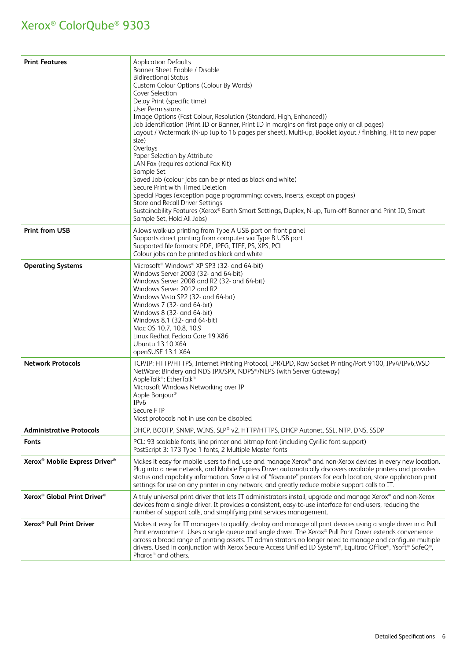| <b>Print Features</b>                                 | <b>Application Defaults</b><br>Banner Sheet Enable / Disable<br><b>Bidirectional Status</b><br>Custom Colour Options (Colour By Words)<br>Cover Selection<br>Delay Print (specific time)<br>User Permissions<br>Image Options (Fast Colour, Resolution (Standard, High, Enhanced))<br>Job Identification (Print ID or Banner, Print ID in margins on first page only or all pages)<br>Layout / Watermark (N-up (up to 16 pages per sheet), Multi-up, Booklet layout / finishing, Fit to new paper<br>size)<br>Overlays<br>Paper Selection by Attribute<br>LAN Fax (requires optional Fax Kit)<br>Sample Set<br>Saved Job (colour jobs can be printed as black and white)<br>Secure Print with Timed Deletion<br>Special Pages (exception page programming: covers, inserts, exception pages)<br>Store and Recall Driver Settings<br>Sustainability Features (Xerox® Earth Smart Settings, Duplex, N-up, Turn-off Banner and Print ID, Smart<br>Sample Set, Hold All Jobs) |
|-------------------------------------------------------|---------------------------------------------------------------------------------------------------------------------------------------------------------------------------------------------------------------------------------------------------------------------------------------------------------------------------------------------------------------------------------------------------------------------------------------------------------------------------------------------------------------------------------------------------------------------------------------------------------------------------------------------------------------------------------------------------------------------------------------------------------------------------------------------------------------------------------------------------------------------------------------------------------------------------------------------------------------------------|
| <b>Print from USB</b>                                 | Allows walk-up printing from Type A USB port on front panel<br>Supports direct printing from computer via Type B USB port<br>Supported file formats: PDF, JPEG, TIFF, PS, XPS, PCL<br>Colour jobs can be printed as black and white                                                                                                                                                                                                                                                                                                                                                                                                                                                                                                                                                                                                                                                                                                                                       |
| <b>Operating Systems</b>                              | Microsoft <sup>®</sup> Windows <sup>®</sup> XP SP3 (32- and 64-bit)<br>Windows Server 2003 (32- and 64-bit)<br>Windows Server 2008 and R2 (32- and 64-bit)<br>Windows Server 2012 and R2<br>Windows Vista SP2 (32- and 64-bit)<br>Windows 7 (32- and 64-bit)<br>Windows 8 (32- and 64-bit)<br>Windows 8.1 (32- and 64-bit)<br>Mac OS 10.7, 10.8, 10.9<br>Linux Redhat Fedora Core 19 X86<br>Ubuntu 13.10 X64<br>openSUSE 13.1 X64                                                                                                                                                                                                                                                                                                                                                                                                                                                                                                                                         |
| <b>Network Protocols</b>                              | TCP/IP: HTTP/HTTPS, Internet Printing Protocol, LPR/LPD, Raw Socket Printing/Port 9100, IPv4/IPv6,WSD<br>NetWare: Bindery and NDS IPX/SPX, NDPS®/NEPS (with Server Gateway)<br>AppleTalk®: EtherTalk®<br>Microsoft Windows Networking over IP<br>Apple Bonjour <sup>®</sup><br>IP <sub>v</sub> 6<br>Secure FTP<br>Most protocols not in use can be disabled                                                                                                                                                                                                                                                                                                                                                                                                                                                                                                                                                                                                               |
| <b>Administrative Protocols</b>                       | DHCP, BOOTP, SNMP, WINS, SLP® v2, HTTP/HTTPS, DHCP Autonet, SSL, NTP, DNS, SSDP                                                                                                                                                                                                                                                                                                                                                                                                                                                                                                                                                                                                                                                                                                                                                                                                                                                                                           |
| <b>Fonts</b>                                          | PCL: 93 scalable fonts, line printer and bitmap font (including Cyrillic font support)<br>PostScript 3: 173 Type 1 fonts, 2 Multiple Master fonts                                                                                                                                                                                                                                                                                                                                                                                                                                                                                                                                                                                                                                                                                                                                                                                                                         |
| Xerox <sup>®</sup> Mobile Express Driver <sup>®</sup> | Makes it easy for mobile users to find, use and manage Xerox® and non-Xerox devices in every new location.<br>Plug into a new network, and Mobile Express Driver automatically discovers available printers and provides<br>status and capability information. Save a list of "favourite" printers for each location, store application print<br>settings for use on any printer in any network, and greatly reduce mobile support calls to IT.                                                                                                                                                                                                                                                                                                                                                                                                                                                                                                                           |
| Xerox <sup>®</sup> Global Print Driver <sup>®</sup>   | A truly universal print driver that lets IT administrators install, upgrade and manage Xerox® and non-Xerox<br>devices from a single driver. It provides a consistent, easy-to-use interface for end-users, reducing the<br>number of support calls, and simplifying print services management.                                                                                                                                                                                                                                                                                                                                                                                                                                                                                                                                                                                                                                                                           |
| Xerox <sup>®</sup> Pull Print Driver                  | Makes it easy for IT managers to qualify, deploy and manage all print devices using a single driver in a Pull<br>Print environment. Uses a single queue and single driver. The Xerox® Pull Print Driver extends convenience<br>across a broad range of printing assets. IT administrators no longer need to manage and configure multiple<br>drivers. Used in conjunction with Xerox Secure Access Unified ID System®, Equitrac Office®, Ysoft® SafeQ®,<br>Pharos <sup>®</sup> and others.                                                                                                                                                                                                                                                                                                                                                                                                                                                                                |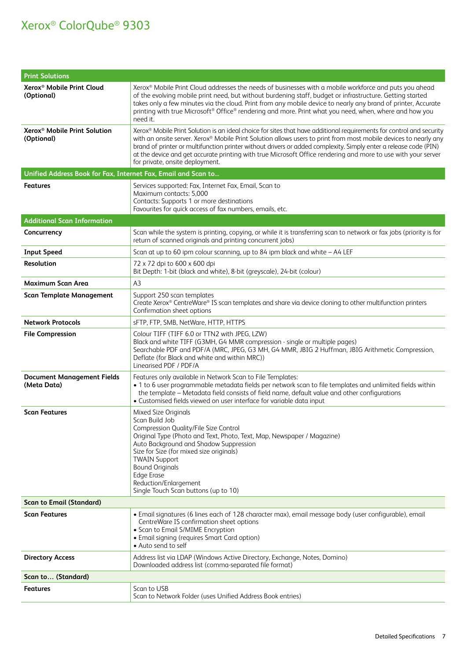| <b>Print Solutions</b>                                        |                                                                                                                                                                                                                                                                                                                                                                                                                                                                                                                  |  |
|---------------------------------------------------------------|------------------------------------------------------------------------------------------------------------------------------------------------------------------------------------------------------------------------------------------------------------------------------------------------------------------------------------------------------------------------------------------------------------------------------------------------------------------------------------------------------------------|--|
| Xerox <sup>®</sup> Mobile Print Cloud<br>(Optional)           | Xerox® Mobile Print Cloud addresses the needs of businesses with a mobile workforce and puts you ahead<br>of the evolving mobile print need, but without burdening staff, budget or infrastructure. Getting started<br>takes only a few minutes via the cloud. Print from any mobile device to nearly any brand of printer, Accurate<br>printing with true Microsoft® Office® rendering and more. Print what you need, when, where and how you<br>need it.                                                       |  |
| Xerox <sup>®</sup> Mobile Print Solution<br>(Optional)        | Xerox® Mobile Print Solution is an ideal choice for sites that have additional requirements for control and security<br>with an onsite server. Xerox® Mobile Print Solution allows users to print from most mobile devices to nearly any<br>brand of printer or multifunction printer without drivers or added complexity. Simply enter a release code (PIN)<br>at the device and get accurate printing with true Microsoft Office rendering and more to use with your server<br>for private, onsite deployment. |  |
| Unified Address Book for Fax, Internet Fax, Email and Scan to |                                                                                                                                                                                                                                                                                                                                                                                                                                                                                                                  |  |
| Features                                                      | Services supported: Fax, Internet Fax, Email, Scan to<br>Maximum contacts: 5,000<br>Contacts: Supports 1 or more destinations<br>Favourites for quick access of fax numbers, emails, etc.                                                                                                                                                                                                                                                                                                                        |  |
| <b>Additional Scan Information</b>                            |                                                                                                                                                                                                                                                                                                                                                                                                                                                                                                                  |  |
| Concurrency                                                   | Scan while the system is printing, copying, or while it is transferring scan to network or fax jobs (priority is for<br>return of scanned originals and printing concurrent jobs)                                                                                                                                                                                                                                                                                                                                |  |
| <b>Input Speed</b>                                            | Scan at up to 60 ipm colour scanning, up to 84 ipm black and white - A4 LEF                                                                                                                                                                                                                                                                                                                                                                                                                                      |  |
| Resolution                                                    | 72 x 72 dpi to 600 x 600 dpi<br>Bit Depth: 1-bit (black and white), 8-bit (greyscale), 24-bit (colour)                                                                                                                                                                                                                                                                                                                                                                                                           |  |
| <b>Maximum Scan Area</b>                                      | A3                                                                                                                                                                                                                                                                                                                                                                                                                                                                                                               |  |
| <b>Scan Template Management</b>                               | Support 250 scan templates<br>Create Xerox® CentreWare® IS scan templates and share via device cloning to other multifunction printers<br>Confirmation sheet options                                                                                                                                                                                                                                                                                                                                             |  |
| <b>Network Protocols</b>                                      | sFTP, FTP, SMB, NetWare, HTTP, HTTPS                                                                                                                                                                                                                                                                                                                                                                                                                                                                             |  |
| <b>File Compression</b>                                       | Colour TIFF (TIFF 6.0 or TTN2 with JPEG, LZW)<br>Black and white TIFF (G3MH, G4 MMR compression - single or multiple pages)<br>Searchable PDF and PDF/A (MRC, JPEG, G3 MH, G4 MMR, JBIG 2 Huffman, JBIG Arithmetic Compression,<br>Deflate (for Black and white and within MRC))<br>Linearised PDF / PDF/A                                                                                                                                                                                                       |  |
| <b>Document Management Fields</b><br>(Meta Data)              | Features only available in Network Scan to File Templates:<br>. 1 to 6 user programmable metadata fields per network scan to file templates and unlimited fields within<br>the template - Metadata field consists of field name, default value and other configurations<br>• Customised fields viewed on user interface for variable data input                                                                                                                                                                  |  |
| <b>Scan Features</b>                                          | Mixed Size Originals<br>Scan Build Job<br>Compression Quality/File Size Control<br>Original Type (Photo and Text, Photo, Text, Map, Newspaper / Magazine)<br>Auto Background and Shadow Suppression<br>Size for Size (for mixed size originals)<br><b>TWAIN Support</b><br><b>Bound Originals</b><br><b>Edge Erase</b><br>Reduction/Enlargement<br>Single Touch Scan buttons (up to 10)                                                                                                                          |  |
| <b>Scan to Email (Standard)</b>                               |                                                                                                                                                                                                                                                                                                                                                                                                                                                                                                                  |  |
| <b>Scan Features</b>                                          | · Email signatures (6 lines each of 128 character max), email message body (user configurable), email<br>CentreWare IS confirmation sheet options<br>• Scan to Email S/MIME Encryption<br>• Email signing (requires Smart Card option)<br>• Auto send to self                                                                                                                                                                                                                                                    |  |
| <b>Directory Access</b>                                       | Address list via LDAP (Windows Active Directory, Exchange, Notes, Domino)<br>Downloaded address list (comma-separated file format)                                                                                                                                                                                                                                                                                                                                                                               |  |
| Scan to (Standard)                                            |                                                                                                                                                                                                                                                                                                                                                                                                                                                                                                                  |  |
| Features                                                      | Scan to USB<br>Scan to Network Folder (uses Unified Address Book entries)                                                                                                                                                                                                                                                                                                                                                                                                                                        |  |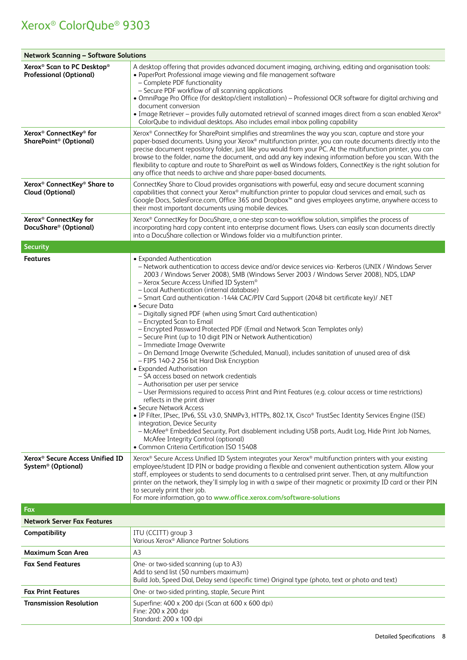| <b>Network Scanning - Software Solutions</b>                                         |                                                                                                                                                                                                                                                                                                                                                                                                                                                                                                                                                                                                                                                                                                                                                                                                                                                                                                                                                                                                                                                                                                                                                                                                                                                                                                                                                                                                                                                                                            |  |  |
|--------------------------------------------------------------------------------------|--------------------------------------------------------------------------------------------------------------------------------------------------------------------------------------------------------------------------------------------------------------------------------------------------------------------------------------------------------------------------------------------------------------------------------------------------------------------------------------------------------------------------------------------------------------------------------------------------------------------------------------------------------------------------------------------------------------------------------------------------------------------------------------------------------------------------------------------------------------------------------------------------------------------------------------------------------------------------------------------------------------------------------------------------------------------------------------------------------------------------------------------------------------------------------------------------------------------------------------------------------------------------------------------------------------------------------------------------------------------------------------------------------------------------------------------------------------------------------------------|--|--|
| Xerox <sup>®</sup> Scan to PC Desktop®<br><b>Professional (Optional)</b>             | A desktop offering that provides advanced document imaging, archiving, editing and organisation tools:<br>• PaperPort Professional image viewing and file management software<br>- Complete PDF functionality<br>- Secure PDF workflow of all scanning applications<br>• OmniPage Pro Office (for desktop/client installation) – Professional OCR software for digital archiving and<br>document conversion<br>• Image Retriever – provides fully automated retrieval of scanned images direct from a scan enabled Xerox®<br>ColorQube to individual desktops. Also includes email inbox polling capability                                                                                                                                                                                                                                                                                                                                                                                                                                                                                                                                                                                                                                                                                                                                                                                                                                                                                |  |  |
| Xerox <sup>®</sup> ConnectKey <sup>®</sup> for<br>SharePoint <sup>®</sup> (Optional) | Xerox® ConnectKey for SharePoint simplifies and streamlines the way you scan, capture and store your<br>paper-based documents. Using your Xerox® multifunction printer, you can route documents directly into the<br>precise document repository folder, just like you would from your PC. At the multifunction printer, you can<br>browse to the folder, name the document, and add any key indexing information before you scan. With the<br>flexibility to capture and route to SharePoint as well as Windows folders, ConnectKey is the right solution for<br>any office that needs to archive and share paper-based documents.                                                                                                                                                                                                                                                                                                                                                                                                                                                                                                                                                                                                                                                                                                                                                                                                                                                        |  |  |
| Xerox <sup>®</sup> ConnectKey <sup>®</sup> Share to<br><b>Cloud (Optional)</b>       | ConnectKey Share to Cloud provides organisations with powerful, easy and secure document scanning<br>capabilities that connect your Xerox® multifunction printer to popular cloud services and email, such as<br>Google Docs, SalesForce.com, Office 365 and Dropbox™ and gives employees anytime, anywhere access to<br>their most important documents using mobile devices.                                                                                                                                                                                                                                                                                                                                                                                                                                                                                                                                                                                                                                                                                                                                                                                                                                                                                                                                                                                                                                                                                                              |  |  |
| Xerox <sup>®</sup> ConnectKey for<br>DocuShare <sup>®</sup> (Optional)               | Xerox® ConnectKey for DocuShare, a one-step scan-to-workflow solution, simplifies the process of<br>incorporating hard copy content into enterprise document flows. Users can easily scan documents directly<br>into a DocuShare collection or Windows folder via a multifunction printer.                                                                                                                                                                                                                                                                                                                                                                                                                                                                                                                                                                                                                                                                                                                                                                                                                                                                                                                                                                                                                                                                                                                                                                                                 |  |  |
| <b>Security</b>                                                                      |                                                                                                                                                                                                                                                                                                                                                                                                                                                                                                                                                                                                                                                                                                                                                                                                                                                                                                                                                                                                                                                                                                                                                                                                                                                                                                                                                                                                                                                                                            |  |  |
| <b>Features</b>                                                                      | • Expanded Authentication<br>- Network authentication to access device and/or device services via- Kerberos (UNIX / Windows Server<br>2003 / Windows Server 2008), SMB (Windows Server 2003 / Windows Server 2008), NDS, LDAP<br>- Xerox Secure Access Unified ID System®<br>- Local Authentication (internal database)<br>- Smart Card authentication -144k CAC/PIV Card Support (2048 bit certificate key)/ .NET<br>• Secure Data<br>- Digitally signed PDF (when using Smart Card authentication)<br>- Encrypted Scan to Email<br>- Encrypted Password Protected PDF (Email and Network Scan Templates only)<br>- Secure Print (up to 10 digit PIN or Network Authentication)<br>- Immediate Image Overwrite<br>- On Demand Image Overwrite (Scheduled, Manual), includes sanitation of unused area of disk<br>- FIPS 140-2 256 bit Hard Disk Encryption<br>• Expanded Authorisation<br>- SA access based on network credentials<br>- Authorisation per user per service<br>- User Permissions required to access Print and Print Features (e.g. colour access or time restrictions)<br>reflects in the print driver<br>• Secure Network Access<br>· IP Filter, IPsec, IPv6, SSL v3.0, SNMPv3, HTTPs, 802.1X, Cisco® TrustSec Identity Services Engine (ISE)<br>integration, Device Security<br>- McAfee® Embedded Security, Port disablement including USB ports, Audit Log, Hide Print Job Names,<br>McAfee Integrity Control (optional)<br>• Common Criteria Certification ISO 15408 |  |  |
| Xerox <sup>®</sup> Secure Access Unified ID<br>System <sup>®</sup> (Optional)        | Xerox® Secure Access Unified ID System integrates your Xerox® multifunction printers with your existing<br>employee/student ID PIN or badge providing a flexible and convenient authentication system. Allow your<br>staff, employees or students to send documents to a centralised print server. Then, at any multifunction<br>printer on the network, they'll simply log in with a swipe of their magnetic or proximity ID card or their PIN<br>to securely print their job.<br>For more information, go to www.office.xerox.com/software-solutions                                                                                                                                                                                                                                                                                                                                                                                                                                                                                                                                                                                                                                                                                                                                                                                                                                                                                                                                     |  |  |
| Fax                                                                                  |                                                                                                                                                                                                                                                                                                                                                                                                                                                                                                                                                                                                                                                                                                                                                                                                                                                                                                                                                                                                                                                                                                                                                                                                                                                                                                                                                                                                                                                                                            |  |  |
| <b>Network Server Fax Features</b>                                                   |                                                                                                                                                                                                                                                                                                                                                                                                                                                                                                                                                                                                                                                                                                                                                                                                                                                                                                                                                                                                                                                                                                                                                                                                                                                                                                                                                                                                                                                                                            |  |  |
| Compatibility                                                                        | ITU (CCITT) group 3<br>Various Xerox® Alliance Partner Solutions                                                                                                                                                                                                                                                                                                                                                                                                                                                                                                                                                                                                                                                                                                                                                                                                                                                                                                                                                                                                                                                                                                                                                                                                                                                                                                                                                                                                                           |  |  |
| Maximum Scan Area                                                                    | A <sub>3</sub>                                                                                                                                                                                                                                                                                                                                                                                                                                                                                                                                                                                                                                                                                                                                                                                                                                                                                                                                                                                                                                                                                                                                                                                                                                                                                                                                                                                                                                                                             |  |  |
| <b>Fax Send Features</b>                                                             | One- or two-sided scanning (up to A3)<br>Add to send list (50 numbers maximum)<br>Build Job, Speed Dial, Delay send (specific time) Original type (photo, text or photo and text)                                                                                                                                                                                                                                                                                                                                                                                                                                                                                                                                                                                                                                                                                                                                                                                                                                                                                                                                                                                                                                                                                                                                                                                                                                                                                                          |  |  |
| <b>Fax Print Features</b>                                                            | One- or two-sided printing, staple, Secure Print                                                                                                                                                                                                                                                                                                                                                                                                                                                                                                                                                                                                                                                                                                                                                                                                                                                                                                                                                                                                                                                                                                                                                                                                                                                                                                                                                                                                                                           |  |  |
| Transmission Resolution                                                              | Superfine: 400 x 200 dpi (Scan at 600 x 600 dpi)<br>Fine: 200 x 200 dpi<br>Standard: 200 x 100 dpi                                                                                                                                                                                                                                                                                                                                                                                                                                                                                                                                                                                                                                                                                                                                                                                                                                                                                                                                                                                                                                                                                                                                                                                                                                                                                                                                                                                         |  |  |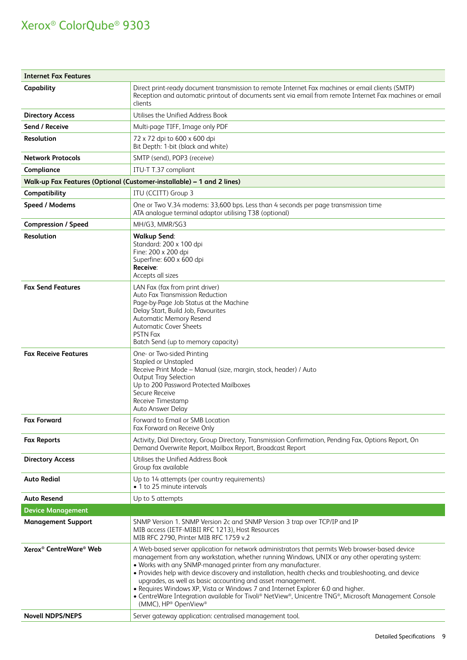| <b>Internet Fax Features</b>                   |                                                                                                                                                                                                                                                                                                                                                                                                                                                                                                                                                                                                                                                              |
|------------------------------------------------|--------------------------------------------------------------------------------------------------------------------------------------------------------------------------------------------------------------------------------------------------------------------------------------------------------------------------------------------------------------------------------------------------------------------------------------------------------------------------------------------------------------------------------------------------------------------------------------------------------------------------------------------------------------|
| Capability                                     | Direct print-ready document transmission to remote Internet Fax machines or email clients (SMTP)<br>Reception and automatic printout of documents sent via email from remote Internet Fax machines or email<br>clients                                                                                                                                                                                                                                                                                                                                                                                                                                       |
| <b>Directory Access</b>                        | Utilises the Unified Address Book                                                                                                                                                                                                                                                                                                                                                                                                                                                                                                                                                                                                                            |
| Send / Receive                                 | Multi-page TIFF, Image only PDF                                                                                                                                                                                                                                                                                                                                                                                                                                                                                                                                                                                                                              |
| Resolution                                     | 72 x 72 dpi to 600 x 600 dpi<br>Bit Depth: 1-bit (black and white)                                                                                                                                                                                                                                                                                                                                                                                                                                                                                                                                                                                           |
| <b>Network Protocols</b>                       | SMTP (send), POP3 (receive)                                                                                                                                                                                                                                                                                                                                                                                                                                                                                                                                                                                                                                  |
| Compliance                                     | ITU-T T.37 compliant                                                                                                                                                                                                                                                                                                                                                                                                                                                                                                                                                                                                                                         |
|                                                | Walk-up Fax Features (Optional (Customer-installable) - 1 and 2 lines)                                                                                                                                                                                                                                                                                                                                                                                                                                                                                                                                                                                       |
| Compatibility                                  | ITU (CCITT) Group 3                                                                                                                                                                                                                                                                                                                                                                                                                                                                                                                                                                                                                                          |
| Speed / Modems                                 | One or Two V.34 modems: 33,600 bps. Less than 4 seconds per page transmission time<br>ATA analogue terminal adaptor utilising T38 (optional)                                                                                                                                                                                                                                                                                                                                                                                                                                                                                                                 |
| <b>Compression / Speed</b>                     | MH/G3, MMR/SG3                                                                                                                                                                                                                                                                                                                                                                                                                                                                                                                                                                                                                                               |
| <b>Resolution</b>                              | <b>Walkup Send:</b><br>Standard: 200 x 100 dpi<br>Fine: 200 x 200 dpi<br>Superfine: 600 x 600 dpi<br>Receive:<br>Accepts all sizes                                                                                                                                                                                                                                                                                                                                                                                                                                                                                                                           |
| <b>Fax Send Features</b>                       | LAN Fax (fax from print driver)<br>Auto Fax Transmission Reduction<br>Page-by-Page Job Status at the Machine<br>Delay Start, Build Job, Favourites<br>Automatic Memory Resend<br><b>Automatic Cover Sheets</b><br><b>PSTN Fax</b><br>Batch Send (up to memory capacity)                                                                                                                                                                                                                                                                                                                                                                                      |
| <b>Fax Receive Features</b>                    | One- or Two-sided Printing<br>Stapled or Unstapled<br>Receive Print Mode - Manual (size, margin, stock, header) / Auto<br>Output Tray Selection<br>Up to 200 Password Protected Mailboxes<br>Secure Receive<br>Receive Timestamp<br>Auto Answer Delay                                                                                                                                                                                                                                                                                                                                                                                                        |
| <b>Fax Forward</b>                             | Forward to Email or SMB Location<br>Fax Forward on Receive Only                                                                                                                                                                                                                                                                                                                                                                                                                                                                                                                                                                                              |
| <b>Fax Reports</b>                             | Activity, Dial Directory, Group Directory, Transmission Confirmation, Pending Fax, Options Report, On<br>Demand Overwrite Report, Mailbox Report, Broadcast Report                                                                                                                                                                                                                                                                                                                                                                                                                                                                                           |
| <b>Directory Access</b>                        | Utilises the Unified Address Book<br>Group fax available                                                                                                                                                                                                                                                                                                                                                                                                                                                                                                                                                                                                     |
| <b>Auto Redial</b>                             | Up to 14 attempts (per country requirements)<br>• 1 to 25 minute intervals                                                                                                                                                                                                                                                                                                                                                                                                                                                                                                                                                                                   |
| <b>Auto Resend</b>                             | Up to 5 attempts                                                                                                                                                                                                                                                                                                                                                                                                                                                                                                                                                                                                                                             |
| <b>Device Management</b>                       |                                                                                                                                                                                                                                                                                                                                                                                                                                                                                                                                                                                                                                                              |
| <b>Management Support</b>                      | SNMP Version 1. SNMP Version 2c and SNMP Version 3 trap over TCP/IP and IP<br>MIB access (IETF-MIBII RFC 1213), Host Resources<br>MIB RFC 2790, Printer MIB RFC 1759 v.2                                                                                                                                                                                                                                                                                                                                                                                                                                                                                     |
| Xerox <sup>®</sup> CentreWare <sup>®</sup> Web | A Web-based server application for network administrators that permits Web browser-based device<br>management from any workstation, whether running Windows, UNIX or any other operating system:<br>. Works with any SNMP-managed printer from any manufacturer.<br>• Provides help with device discovery and installation, health checks and troubleshooting, and device<br>upgrades, as well as basic accounting and asset management.<br>• Requires Windows XP, Vista or Windows 7 and Internet Explorer 6.0 and higher.<br>• CentreWare Integration available for Tivoli® NetView®, Unicentre TNG®, Microsoft Management Console<br>(MMC), HP® OpenView® |
| <b>Novell NDPS/NEPS</b>                        | Server gateway application: centralised management tool.                                                                                                                                                                                                                                                                                                                                                                                                                                                                                                                                                                                                     |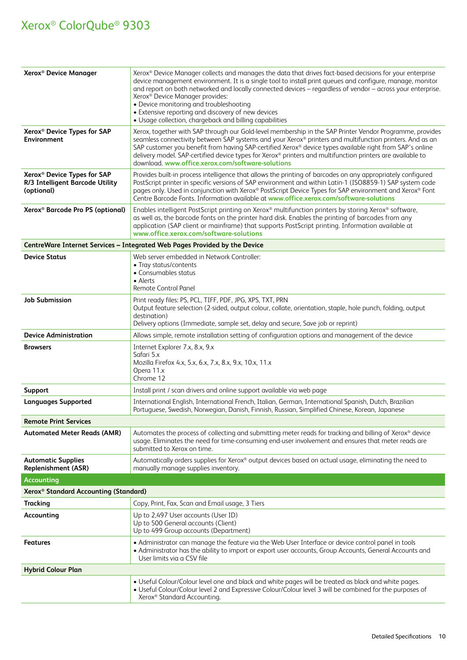| Xerox <sup>®</sup> Device Manager                                                        | Xerox® Device Manager collects and manages the data that drives fact-based decisions for your enterprise<br>device management environment. It is a single tool to install print queues and configure, manage, monitor<br>and report on both networked and locally connected devices - regardless of vendor - across your enterprise.<br>Xerox <sup>®</sup> Device Manager provides:<br>• Device monitoring and troubleshooting<br>• Extensive reporting and discovery of new devices<br>• Usage collection, chargeback and billing capabilities |
|------------------------------------------------------------------------------------------|-------------------------------------------------------------------------------------------------------------------------------------------------------------------------------------------------------------------------------------------------------------------------------------------------------------------------------------------------------------------------------------------------------------------------------------------------------------------------------------------------------------------------------------------------|
| Xerox <sup>®</sup> Device Types for SAP<br><b>Environment</b>                            | Xerox, together with SAP through our Gold-level membership in the SAP Printer Vendor Programme, provides<br>seamless connectivity between SAP systems and your Xerox® printers and multifunction printers. And as an<br>SAP customer you benefit from having SAP-certified Xerox® device types available right from SAP's online<br>delivery model. SAP-certified device types for Xerox® printers and multifunction printers are available to<br>download. www.office.xerox.com/software-solutions                                             |
| Xerox <sup>®</sup> Device Types for SAP<br>R/3 Intelligent Barcode Utility<br>(optional) | Provides built-in process intelligence that allows the printing of barcodes on any appropriately configured<br>PostScript printer in specific versions of SAP environment and within Latin-1 (ISO8859-1) SAP system code<br>pages only. Used in conjunction with Xerox® PostScript Device Types for SAP environment and Xerox® Font<br>Centre Barcode Fonts. Information available at www.office.xerox.com/software-solutions                                                                                                                   |
| Xerox <sup>®</sup> Barcode Pro PS (optional)                                             | Enables intelligent PostScript printing on Xerox® multifunction printers by storing Xerox® software,<br>as well as, the barcode fonts on the printer hard disk. Enables the printing of barcodes from any<br>application (SAP client or mainframe) that supports PostScript printing. Information available at<br>www.office.xerox.com/software-solutions                                                                                                                                                                                       |
|                                                                                          | CentreWare Internet Services - Integrated Web Pages Provided by the Device                                                                                                                                                                                                                                                                                                                                                                                                                                                                      |
| <b>Device Status</b>                                                                     | Web server embedded in Network Controller:<br>• Tray status/contents<br>• Consumables status<br>• Alerts<br>Remote Control Panel                                                                                                                                                                                                                                                                                                                                                                                                                |
| <b>Job Submission</b>                                                                    | Print ready files: PS, PCL, TIFF, PDF, JPG, XPS, TXT, PRN<br>Output feature selection (2-sided, output colour, collate, orientation, staple, hole punch, folding, output<br>destination)<br>Delivery options (Immediate, sample set, delay and secure, Save job or reprint)                                                                                                                                                                                                                                                                     |
| <b>Device Administration</b>                                                             | Allows simple, remote installation setting of configuration options and management of the device                                                                                                                                                                                                                                                                                                                                                                                                                                                |
| <b>Browsers</b>                                                                          | Internet Explorer 7.x, 8.x, 9.x<br>Safari 5.x<br>Mozilla Firefox 4.x, 5.x, 6.x, 7.x, 8.x, 9.x, 10.x, 11.x<br>Opera 11.x<br>Chrome 12                                                                                                                                                                                                                                                                                                                                                                                                            |
| <b>Support</b>                                                                           | Install print / scan drivers and online support available via web page                                                                                                                                                                                                                                                                                                                                                                                                                                                                          |
| <b>Languages Supported</b>                                                               | International English, International French, Italian, German, International Spanish, Dutch, Brazilian<br>Portuguese, Swedish, Norwegian, Danish, Finnish, Russian, Simplified Chinese, Korean, Japanese                                                                                                                                                                                                                                                                                                                                         |
| <b>Remote Print Services</b>                                                             |                                                                                                                                                                                                                                                                                                                                                                                                                                                                                                                                                 |
| <b>Automated Meter Reads (AMR)</b>                                                       | Automates the process of collecting and submitting meter reads for tracking and billing of Xerox® device<br>usage. Eliminates the need for time-consuming end-user involvement and ensures that meter reads are<br>submitted to Xerox on time.                                                                                                                                                                                                                                                                                                  |
| <b>Automatic Supplies</b><br><b>Replenishment (ASR)</b>                                  | Automatically orders supplies for Xerox® output devices based on actual usage, eliminating the need to<br>manually manage supplies inventory.                                                                                                                                                                                                                                                                                                                                                                                                   |
| <b>Accounting</b>                                                                        |                                                                                                                                                                                                                                                                                                                                                                                                                                                                                                                                                 |
| Xerox <sup>®</sup> Standard Accounting (Standard)                                        |                                                                                                                                                                                                                                                                                                                                                                                                                                                                                                                                                 |
| <b>Tracking</b>                                                                          | Copy, Print, Fax, Scan and Email usage, 3 Tiers                                                                                                                                                                                                                                                                                                                                                                                                                                                                                                 |
| Accounting                                                                               | Up to 2,497 User accounts (User ID)<br>Up to 500 General accounts (Client)<br>Up to 499 Group accounts (Department)                                                                                                                                                                                                                                                                                                                                                                                                                             |
| Features                                                                                 | • Administrator can manage the feature via the Web User Interface or device control panel in tools<br>• Administrator has the ability to import or export user accounts, Group Accounts, General Accounts and<br>User limits via a CSV file                                                                                                                                                                                                                                                                                                     |
| <b>Hybrid Colour Plan</b>                                                                |                                                                                                                                                                                                                                                                                                                                                                                                                                                                                                                                                 |
|                                                                                          | • Useful Colour/Colour level one and black and white pages will be treated as black and white pages.<br>• Useful Colour/Colour level 2 and Expressive Colour/Colour level 3 will be combined for the purposes of<br>Xerox® Standard Accounting.                                                                                                                                                                                                                                                                                                 |